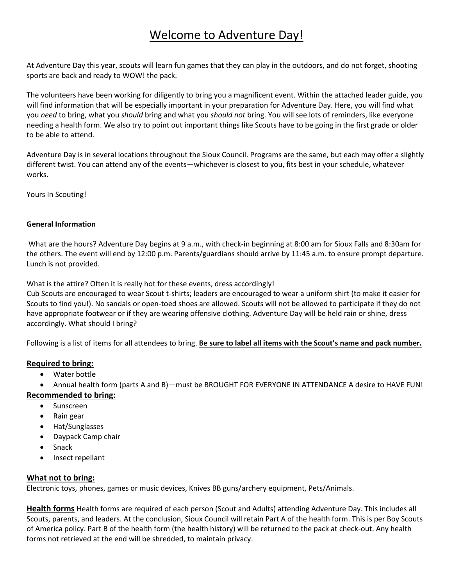## Welcome to Adventure Day!

At Adventure Day this year, scouts will learn fun games that they can play in the outdoors, and do not forget, shooting sports are back and ready to WOW! the pack.

The volunteers have been working for diligently to bring you a magnificent event. Within the attached leader guide, you will find information that will be especially important in your preparation for Adventure Day. Here, you will find what you *need* to bring, what you *should* bring and what you *should not* bring. You will see lots of reminders, like everyone needing a health form. We also try to point out important things like Scouts have to be going in the first grade or older to be able to attend.

Adventure Day is in several locations throughout the Sioux Council. Programs are the same, but each may offer a slightly different twist. You can attend any of the events—whichever is closest to you, fits best in your schedule, whatever works.

Yours In Scouting!

## **General Information**

What are the hours? Adventure Day begins at 9 a.m., with check-in beginning at 8:00 am for Sioux Falls and 8:30am for the others. The event will end by 12:00 p.m. Parents/guardians should arrive by 11:45 a.m. to ensure prompt departure. Lunch is not provided.

What is the attire? Often it is really hot for these events, dress accordingly!

Cub Scouts are encouraged to wear Scout t-shirts; leaders are encouraged to wear a uniform shirt (to make it easier for Scouts to find you!). No sandals or open-toed shoes are allowed. Scouts will not be allowed to participate if they do not have appropriate footwear or if they are wearing offensive clothing. Adventure Day will be held rain or shine, dress accordingly. What should I bring?

Following is a list of items for all attendees to bring. **Be sure to label all items with the Scout's name and pack number.**

## **Required to bring:**

- Water bottle
- Annual health form (parts A and B)—must be BROUGHT FOR EVERYONE IN ATTENDANCE A desire to HAVE FUN! **Recommended to bring:**
	- **Sunscreen**
	- Rain gear
	- Hat/Sunglasses
	- Daypack Camp chair
	- Snack
	- Insect repellant

## **What not to bring:**

Electronic toys, phones, games or music devices, Knives BB guns/archery equipment, Pets/Animals.

**Health forms** Health forms are required of each person (Scout and Adults) attending Adventure Day. This includes all Scouts, parents, and leaders. At the conclusion, Sioux Council will retain Part A of the health form. This is per Boy Scouts of America policy. Part B of the health form (the health history) will be returned to the pack at check-out. Any health forms not retrieved at the end will be shredded, to maintain privacy.